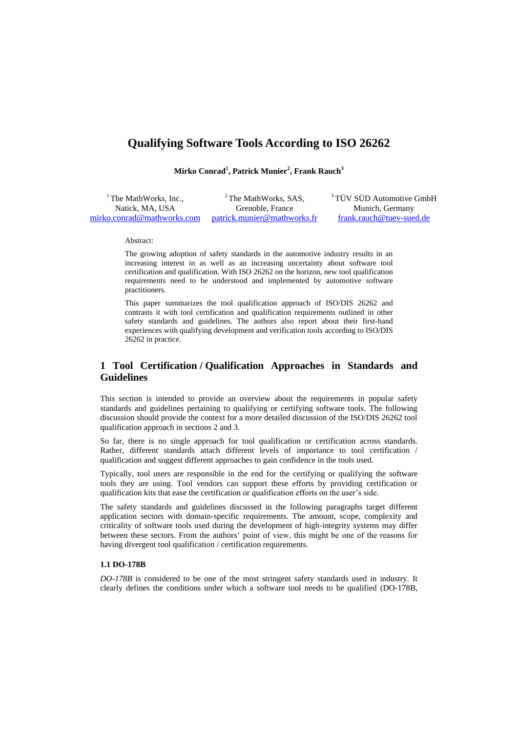# **Qualifying Software Tools According to ISO 26262**

**Mirko Conrad<sup>1</sup> , Patrick Munier<sup>2</sup> , Frank Rauch<sup>3</sup>**

<sup>1</sup> The MathWorks, Inc., Natick, MA, USA [mirko.conrad@mathworks.com](mailto:mirko.conrad@mathworks.com) <sup>2</sup> The MathWorks, SAS, Grenoble, France [patrick.munier@mathworks.fr](mailto:patrick.munier@mathworks.fr) <sup>3</sup>TÜV SÜD Automotive GmbH Munich, Germany [frank.rauch@tuev-sued.de](mailto:frank.rauch@tuev-sued.de)

Abstract:

The growing adoption of safety standards in the automotive industry results in an increasing interest in as well as an increasing uncertainty about software tool certification and qualification. With ISO 26262 on the horizon, new tool qualification requirements need to be understood and implemented by automotive software practitioners.

This paper summarizes the tool qualification approach of ISO/DIS 26262 and contrasts it with tool certification and qualification requirements outlined in other safety standards and guidelines. The authors also report about their first-hand experiences with qualifying development and verification tools according to ISO/DIS 26262 in practice.

## **1 Tool Certification / Qualification Approaches in Standards and Guidelines**

This section is intended to provide an overview about the requirements in popular safety standards and guidelines pertaining to qualifying or certifying software tools. The following discussion should provide the context for a more detailed discussion of the ISO/DIS 26262 tool qualification approach in sections 2 and 3.

So far, there is no single approach for tool qualification or certification across standards. Rather, different standards attach different levels of importance to tool certification / qualification and suggest different approaches to gain confidence in the tools used.

Typically, tool users are responsible in the end for the certifying or qualifying the software tools they are using. Tool vendors can support these efforts by providing certification or qualification kits that ease the certification or qualification efforts on the user's side.

The safety standards and guidelines discussed in the following paragraphs target different application sectors with domain-specific requirements. The amount, scope, complexity and criticality of software tools used during the development of high-integrity systems may differ between these sectors. From the authors' point of view, this might be one of the reasons for having divergent tool qualification / certification requirements.

## **1.1 DO-178B**

*DO-178B* is considered to be one of the most stringent safety standards used in industry. It clearly defines the conditions under which a software tool needs to be qualified (DO-178B,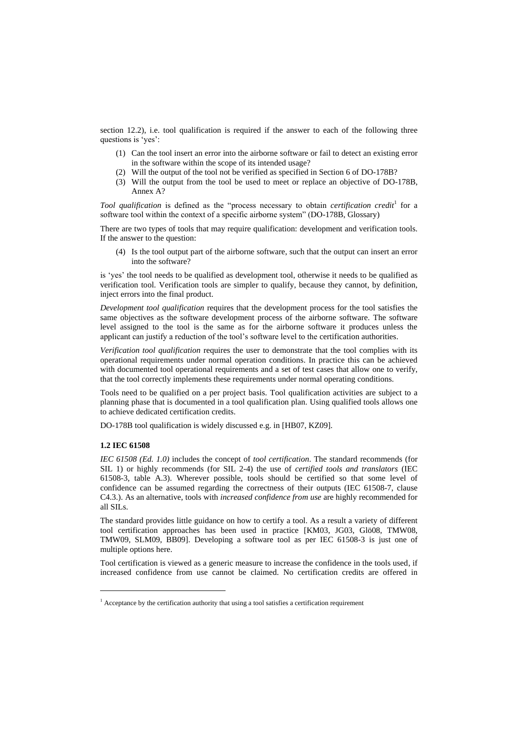section 12.2), i.e. tool qualification is required if the answer to each of the following three questions is 'ves':

- (1) Can the tool insert an error into the airborne software or fail to detect an existing error in the software within the scope of its intended usage?
- (2) Will the output of the tool not be verified as specified in Section 6 of DO-178B?
- (3) Will the output from the tool be used to meet or replace an objective of DO-178B, Annex A?

Tool qualification is defined as the "process necessary to obtain *certification credit*<sup>1</sup> for a software tool within the context of a specific airborne system" (DO-178B, Glossary)

There are two types of tools that may require qualification: development and verification tools. If the answer to the question:

(4) Is the tool output part of the airborne software, such that the output can insert an error into the software?

is ‗yes' the tool needs to be qualified as development tool, otherwise it needs to be qualified as verification tool. Verification tools are simpler to qualify, because they cannot, by definition, inject errors into the final product.

*Development tool qualification* requires that the development process for the tool satisfies the same objectives as the software development process of the airborne software. The software level assigned to the tool is the same as for the airborne software it produces unless the applicant can justify a reduction of the tool's software level to the certification authorities.

*Verification tool qualification* requires the user to demonstrate that the tool complies with its operational requirements under normal operation conditions. In practice this can be achieved with documented tool operational requirements and a set of test cases that allow one to verify, that the tool correctly implements these requirements under normal operating conditions.

Tools need to be qualified on a per project basis. Tool qualification activities are subject to a planning phase that is documented in a tool qualification plan. Using qualified tools allows one to achieve dedicated certification credits.

DO-178B tool qualification is widely discussed e.g. in [HB07, KZ09].

## **1.2 IEC 61508**

-

*IEC 61508 (Ed. 1.0)* includes the concept of *tool certification*. The standard recommends (for SIL 1) or highly recommends (for SIL 2-4) the use of *certified tools and translators* (IEC 61508-3, table A.3). Wherever possible, tools should be certified so that some level of confidence can be assumed regarding the correctness of their outputs (IEC 61508-7, clause C4.3.). As an alternative, tools with *increased confidence from use* are highly recommended for all SILs.

The standard provides little guidance on how to certify a tool. As a result a variety of different tool certification approaches has been used in practice [KM03, JG03, Glö08, TMW08, TMW09, SLM09, BB09]. Developing a software tool as per IEC 61508-3 is just one of multiple options here.

Tool certification is viewed as a generic measure to increase the confidence in the tools used, if increased confidence from use cannot be claimed. No certification credits are offered in

<sup>&</sup>lt;sup>1</sup> Acceptance by the certification authority that using a tool satisfies a certification requirement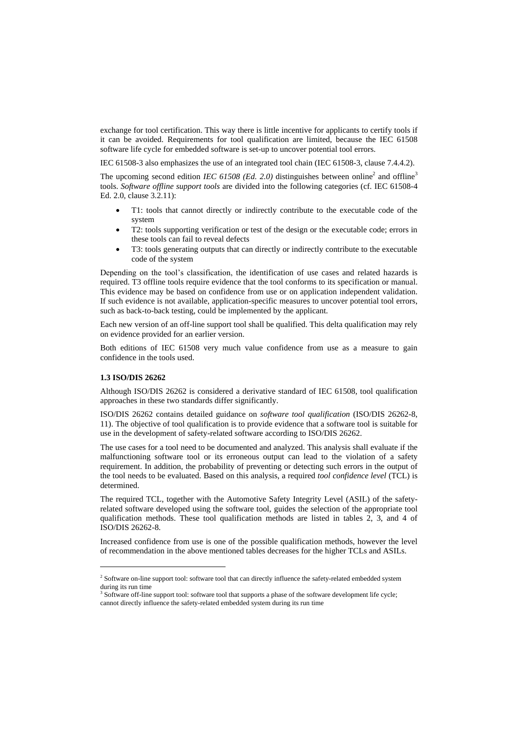exchange for tool certification. This way there is little incentive for applicants to certify tools if it can be avoided. Requirements for tool qualification are limited, because the IEC 61508 software life cycle for embedded software is set-up to uncover potential tool errors.

IEC 61508-3 also emphasizes the use of an integrated tool chain (IEC 61508-3, clause 7.4.4.2).

The upcoming second edition *IEC 61508 (Ed. 2.0)* distinguishes between online<sup>2</sup> and offline<sup>3</sup> tools. *Software offline support tools* are divided into the following categories (cf. IEC 61508-4 Ed. 2.0, clause 3.2.11):

- T1: tools that cannot directly or indirectly contribute to the executable code of the system
- T2: tools supporting verification or test of the design or the executable code; errors in these tools can fail to reveal defects
- T3: tools generating outputs that can directly or indirectly contribute to the executable code of the system

Depending on the tool's classification, the identification of use cases and related hazards is required. T3 offline tools require evidence that the tool conforms to its specification or manual. This evidence may be based on confidence from use or on application independent validation. If such evidence is not available, application-specific measures to uncover potential tool errors, such as back-to-back testing, could be implemented by the applicant.

Each new version of an off-line support tool shall be qualified. This delta qualification may rely on evidence provided for an earlier version.

Both editions of IEC 61508 very much value confidence from use as a measure to gain confidence in the tools used.

#### **1.3 ISO/DIS 26262**

-

Although ISO/DIS 26262 is considered a derivative standard of IEC 61508, tool qualification approaches in these two standards differ significantly.

ISO/DIS 26262 contains detailed guidance on *software tool qualification* (ISO/DIS 26262-8, 11). The objective of tool qualification is to provide evidence that a software tool is suitable for use in the development of safety-related software according to ISO/DIS 26262.

The use cases for a tool need to be documented and analyzed. This analysis shall evaluate if the malfunctioning software tool or its erroneous output can lead to the violation of a safety requirement. In addition, the probability of preventing or detecting such errors in the output of the tool needs to be evaluated. Based on this analysis, a required *tool confidence level* (TCL) is determined.

The required TCL, together with the Automotive Safety Integrity Level (ASIL) of the safetyrelated software developed using the software tool, guides the selection of the appropriate tool qualification methods. These tool qualification methods are listed in tables 2, 3, and 4 of ISO/DIS 26262-8.

Increased confidence from use is one of the possible qualification methods, however the level of recommendation in the above mentioned tables decreases for the higher TCLs and ASILs.

<sup>&</sup>lt;sup>2</sup> Software on-line support tool: software tool that can directly influence the safety-related embedded system during its run time

<sup>&</sup>lt;sup>3</sup> Software off-line support tool: software tool that supports a phase of the software development life cycle; cannot directly influence the safety-related embedded system during its run time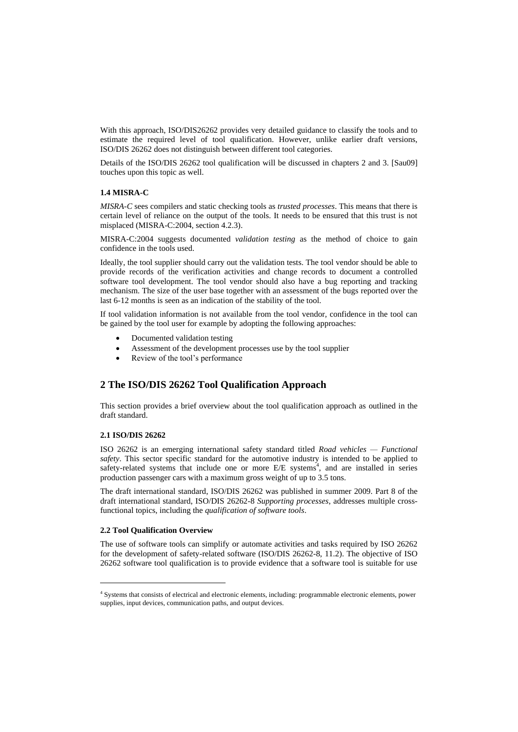With this approach, ISO/DIS26262 provides very detailed guidance to classify the tools and to estimate the required level of tool qualification. However, unlike earlier draft versions, ISO/DIS 26262 does not distinguish between different tool categories.

Details of the ISO/DIS 26262 tool qualification will be discussed in chapters 2 and 3. [Sau09] touches upon this topic as well.

### **1.4 MISRA-C**

*MISRA-C* sees compilers and static checking tools as *trusted processes*. This means that there is certain level of reliance on the output of the tools. It needs to be ensured that this trust is not misplaced (MISRA-C:2004, section 4.2.3).

MISRA-C:2004 suggests documented *validation testing* as the method of choice to gain confidence in the tools used.

Ideally, the tool supplier should carry out the validation tests. The tool vendor should be able to provide records of the verification activities and change records to document a controlled software tool development. The tool vendor should also have a bug reporting and tracking mechanism. The size of the user base together with an assessment of the bugs reported over the last 6-12 months is seen as an indication of the stability of the tool.

If tool validation information is not available from the tool vendor, confidence in the tool can be gained by the tool user for example by adopting the following approaches:

- Documented validation testing
- Assessment of the development processes use by the tool supplier
- Review of the tool's performance

## **2 The ISO/DIS 26262 Tool Qualification Approach**

This section provides a brief overview about the tool qualification approach as outlined in the draft standard.

## **2.1 ISO/DIS 26262**

-

ISO 26262 is an emerging international safety standard titled *Road vehicles — Functional safety*. This sector specific standard for the automotive industry is intended to be applied to safety-related systems that include one or more E/E systems<sup>4</sup>, and are installed in series production passenger cars with a maximum gross weight of up to 3.5 tons.

The draft international standard, ISO/DIS 26262 was published in summer 2009. Part 8 of the draft international standard, ISO/DIS 26262-8 *Supporting processes*, addresses multiple crossfunctional topics, including the *qualification of software tools*.

## **2.2 Tool Qualification Overview**

The use of software tools can simplify or automate activities and tasks required by ISO 26262 for the development of safety-related software (ISO/DIS 26262-8, 11.2). The objective of ISO 26262 software tool qualification is to provide evidence that a software tool is suitable for use

<sup>4</sup> Systems that consists of electrical and electronic elements, including: programmable electronic elements, power supplies, input devices, communication paths, and output devices.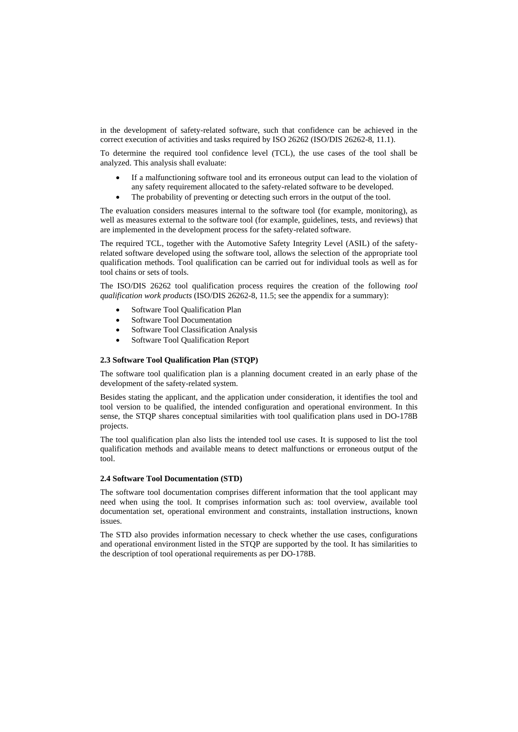in the development of safety-related software, such that confidence can be achieved in the correct execution of activities and tasks required by ISO 26262 (ISO/DIS 26262-8, 11.1).

To determine the required tool confidence level (TCL), the use cases of the tool shall be analyzed. This analysis shall evaluate:

- If a malfunctioning software tool and its erroneous output can lead to the violation of any safety requirement allocated to the safety-related software to be developed.
- The probability of preventing or detecting such errors in the output of the tool.

The evaluation considers measures internal to the software tool (for example, monitoring), as well as measures external to the software tool (for example, guidelines, tests, and reviews) that are implemented in the development process for the safety-related software.

The required TCL, together with the Automotive Safety Integrity Level (ASIL) of the safetyrelated software developed using the software tool, allows the selection of the appropriate tool qualification methods. Tool qualification can be carried out for individual tools as well as for tool chains or sets of tools.

The ISO/DIS 26262 tool qualification process requires the creation of the following *tool qualification work products* (ISO/DIS 26262-8, 11.5; see the appendix for a summary):

- Software Tool Qualification Plan
- Software Tool Documentation
- Software Tool Classification Analysis
- Software Tool Qualification Report

#### **2.3 Software Tool Qualification Plan (STQP)**

The software tool qualification plan is a planning document created in an early phase of the development of the safety-related system.

Besides stating the applicant, and the application under consideration, it identifies the tool and tool version to be qualified, the intended configuration and operational environment. In this sense, the STQP shares conceptual similarities with tool qualification plans used in DO-178B projects.

The tool qualification plan also lists the intended tool use cases. It is supposed to list the tool qualification methods and available means to detect malfunctions or erroneous output of the tool.

### **2.4 Software Tool Documentation (STD)**

The software tool documentation comprises different information that the tool applicant may need when using the tool. It comprises information such as: tool overview, available tool documentation set, operational environment and constraints, installation instructions, known issues.

The STD also provides information necessary to check whether the use cases, configurations and operational environment listed in the STQP are supported by the tool. It has similarities to the description of tool operational requirements as per DO-178B.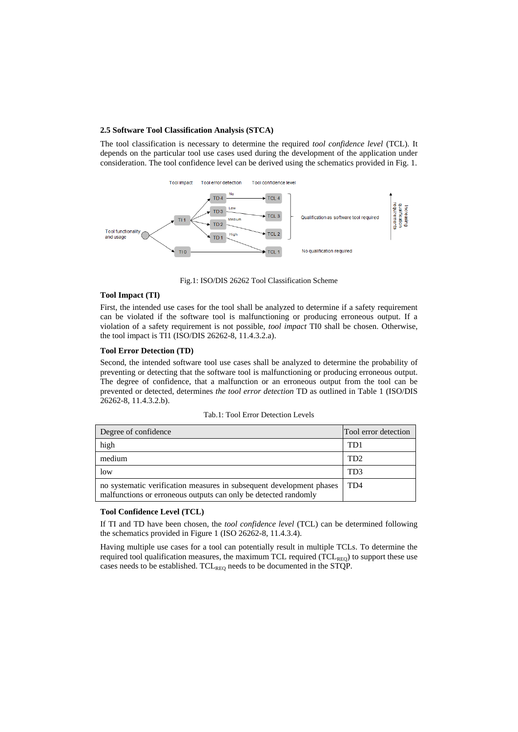## **2.5 Software Tool Classification Analysis (STCA)**

The tool classification is necessary to determine the required *tool confidence level* (TCL). It depends on the particular tool use cases used during the development of the application under consideration. The tool confidence level can be derived using the schematics provided in Fig. 1.



Fig.1: ISO/DIS 26262 Tool Classification Scheme

## **Tool Impact (TI)**

First, the intended use cases for the tool shall be analyzed to determine if a safety requirement can be violated if the software tool is malfunctioning or producing erroneous output. If a violation of a safety requirement is not possible, *tool impact* TI0 shall be chosen. Otherwise, the tool impact is TI1 (ISO/DIS 26262-8, 11.4.3.2.a).

#### **Tool Error Detection (TD)**

Second, the intended software tool use cases shall be analyzed to determine the probability of preventing or detecting that the software tool is malfunctioning or producing erroneous output. The degree of confidence, that a malfunction or an erroneous output from the tool can be prevented or detected, determines *the tool error detection* TD as outlined in Table 1 (ISO/DIS 26262-8, 11.4.3.2.b).

|  |  | Tab.1: Tool Error Detection Levels |  |
|--|--|------------------------------------|--|
|--|--|------------------------------------|--|

| Degree of confidence                                                                                                                    | Tool error detection |  |
|-----------------------------------------------------------------------------------------------------------------------------------------|----------------------|--|
| high                                                                                                                                    | TD1                  |  |
| medium                                                                                                                                  | TD <sub>2</sub>      |  |
| low                                                                                                                                     | TD <sub>3</sub>      |  |
| no systematic verification measures in subsequent development phases<br>malfunctions or erroneous outputs can only be detected randomly | TD4                  |  |

#### **Tool Confidence Level (TCL)**

If TI and TD have been chosen, the *tool confidence level* (TCL) can be determined following the schematics provided in Figure 1 (ISO 26262-8, 11.4.3.4).

Having multiple use cases for a tool can potentially result in multiple TCLs. To determine the required tool qualification measures, the maximum TCL required  $(\rm{TCL}_{\rm{REO}})$  to support these use cases needs to be established.  $TCL_{REO}$  needs to be documented in the STQP.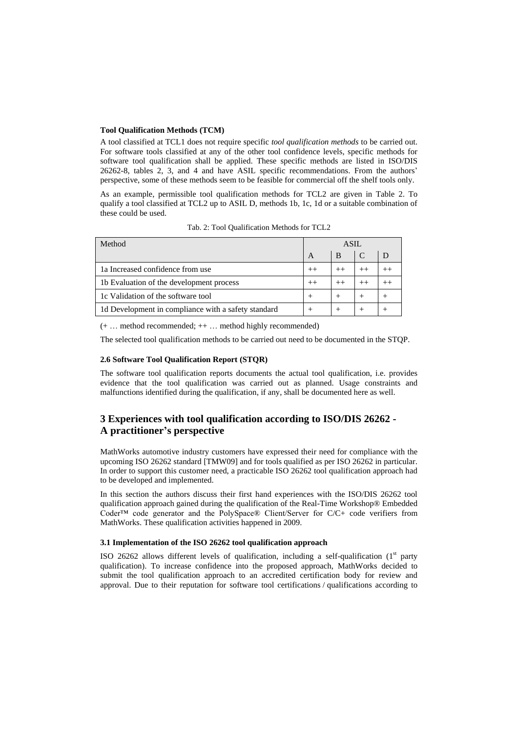## **Tool Qualification Methods (TCM)**

A tool classified at TCL1 does not require specific *tool qualification methods* to be carried out. For software tools classified at any of the other tool confidence levels, specific methods for software tool qualification shall be applied. These specific methods are listed in ISO/DIS 26262-8, tables 2, 3, and 4 and have ASIL specific recommendations. From the authors' perspective, some of these methods seem to be feasible for commercial off the shelf tools only.

As an example, permissible tool qualification methods for TCL2 are given in Table 2. To qualify a tool classified at TCL2 up to ASIL D, methods 1b, 1c, 1d or a suitable combination of these could be used.

| Method                                              | ASIL |         |        |        |
|-----------------------------------------------------|------|---------|--------|--------|
|                                                     | A    | B       |        | D      |
| 1a Increased confidence from use                    | $++$ | $^{++}$ |        |        |
| 1b Evaluation of the development process            |      | $^{++}$ |        |        |
| 1c Validation of the software tool                  |      |         | $^{+}$ | $^{+}$ |
| 1d Development in compliance with a safety standard |      |         | $^{+}$ | $\pm$  |

Tab. 2: Tool Qualification Methods for TCL2

(+ … method recommended; ++ … method highly recommended)

The selected tool qualification methods to be carried out need to be documented in the STQP.

### **2.6 Software Tool Qualification Report (STQR)**

The software tool qualification reports documents the actual tool qualification, i.e. provides evidence that the tool qualification was carried out as planned. Usage constraints and malfunctions identified during the qualification, if any, shall be documented here as well.

## **3 Experiences with tool qualification according to ISO/DIS 26262 - A practitioner's perspective**

MathWorks automotive industry customers have expressed their need for compliance with the upcoming ISO 26262 standard [TMW09] and for tools qualified as per ISO 26262 in particular. In order to support this customer need, a practicable ISO 26262 tool qualification approach had to be developed and implemented.

In this section the authors discuss their first hand experiences with the ISO/DIS 26262 tool qualification approach gained during the qualification of the Real-Time Workshop® Embedded Coder™ code generator and the PolySpace® Client/Server for C/C+ code verifiers from MathWorks. These qualification activities happened in 2009.

## **3.1 Implementation of the ISO 26262 tool qualification approach**

ISO 26262 allows different levels of qualification, including a self-qualification  $(1<sup>st</sup>$  party qualification). To increase confidence into the proposed approach, MathWorks decided to submit the tool qualification approach to an accredited certification body for review and approval. Due to their reputation for software tool certifications / qualifications according to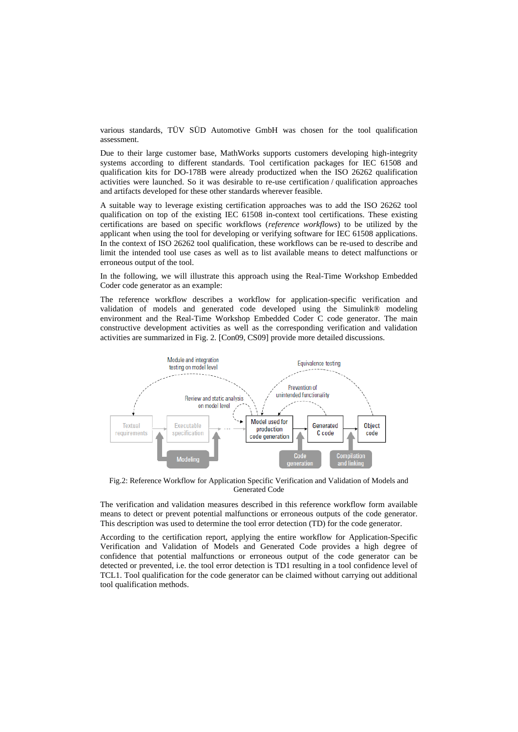various standards, TÜV SÜD Automotive GmbH was chosen for the tool qualification assessment.

Due to their large customer base, MathWorks supports customers developing high-integrity systems according to different standards. Tool certification packages for IEC 61508 and qualification kits for DO-178B were already productized when the ISO 26262 qualification activities were launched. So it was desirable to re-use certification / qualification approaches and artifacts developed for these other standards wherever feasible.

A suitable way to leverage existing certification approaches was to add the ISO 26262 tool qualification on top of the existing IEC 61508 in-context tool certifications. These existing certifications are based on specific workflows (*reference workflows*) to be utilized by the applicant when using the tool for developing or verifying software for IEC 61508 applications. In the context of ISO 26262 tool qualification, these workflows can be re-used to describe and limit the intended tool use cases as well as to list available means to detect malfunctions or erroneous output of the tool.

In the following, we will illustrate this approach using the Real-Time Workshop Embedded Coder code generator as an example:

The reference workflow describes a workflow for application-specific verification and validation of models and generated code developed using the Simulink® modeling environment and the Real-Time Workshop Embedded Coder C code generator. The main constructive development activities as well as the corresponding verification and validation activities are summarized in Fig. 2. [Con09, CS09] provide more detailed discussions.



Fig.2: Reference Workflow for Application Specific Verification and Validation of Models and Generated Code

The verification and validation measures described in this reference workflow form available means to detect or prevent potential malfunctions or erroneous outputs of the code generator. This description was used to determine the tool error detection (TD) for the code generator.

According to the certification report, applying the entire workflow for Application-Specific Verification and Validation of Models and Generated Code provides a high degree of confidence that potential malfunctions or erroneous output of the code generator can be detected or prevented, i.e. the tool error detection is TD1 resulting in a tool confidence level of TCL1. Tool qualification for the code generator can be claimed without carrying out additional tool qualification methods.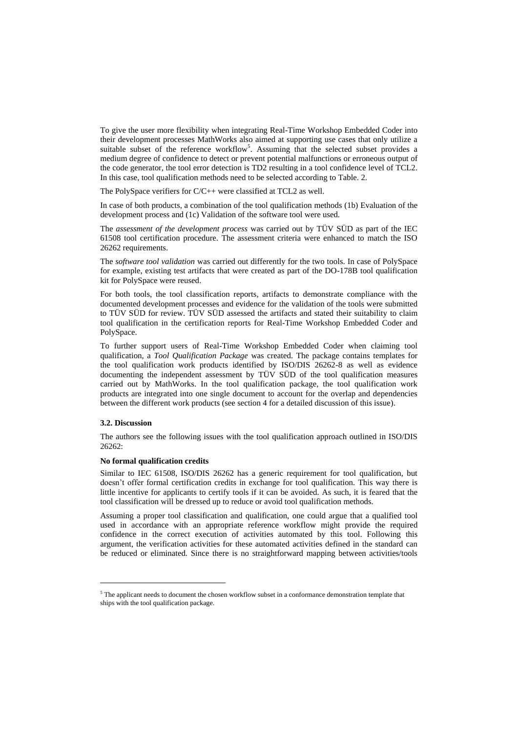To give the user more flexibility when integrating Real-Time Workshop Embedded Coder into their development processes MathWorks also aimed at supporting use cases that only utilize a suitable subset of the reference workflow<sup>5</sup>. Assuming that the selected subset provides a medium degree of confidence to detect or prevent potential malfunctions or erroneous output of the code generator, the tool error detection is TD2 resulting in a tool confidence level of TCL2. In this case, tool qualification methods need to be selected according to Table. 2.

The PolySpace verifiers for C/C++ were classified at TCL2 as well.

In case of both products, a combination of the tool qualification methods (1b) Evaluation of the development process and (1c) Validation of the software tool were used.

The *assessment of the development process* was carried out by TÜV SÜD as part of the IEC 61508 tool certification procedure. The assessment criteria were enhanced to match the ISO 26262 requirements.

The *software tool validation* was carried out differently for the two tools. In case of PolySpace for example, existing test artifacts that were created as part of the DO-178B tool qualification kit for PolySpace were reused.

For both tools, the tool classification reports, artifacts to demonstrate compliance with the documented development processes and evidence for the validation of the tools were submitted to TÜV SÜD for review. TÜV SÜD assessed the artifacts and stated their suitability to claim tool qualification in the certification reports for Real-Time Workshop Embedded Coder and PolySpace.

To further support users of Real-Time Workshop Embedded Coder when claiming tool qualification, a *Tool Qualification Package* was created. The package contains templates for the tool qualification work products identified by ISO/DIS 26262-8 as well as evidence documenting the independent assessment by TÜV SÜD of the tool qualification measures carried out by MathWorks. In the tool qualification package, the tool qualification work products are integrated into one single document to account for the overlap and dependencies between the different work products (see section 4 for a detailed discussion of this issue).

## **3.2. Discussion**

-

The authors see the following issues with the tool qualification approach outlined in ISO/DIS 26262:

#### **No formal qualification credits**

Similar to IEC 61508, ISO/DIS 26262 has a generic requirement for tool qualification, but doesn't offer formal certification credits in exchange for tool qualification. This way there is little incentive for applicants to certify tools if it can be avoided. As such, it is feared that the tool classification will be dressed up to reduce or avoid tool qualification methods.

Assuming a proper tool classification and qualification, one could argue that a qualified tool used in accordance with an appropriate reference workflow might provide the required confidence in the correct execution of activities automated by this tool. Following this argument, the verification activities for these automated activities defined in the standard can be reduced or eliminated. Since there is no straightforward mapping between activities/tools

<sup>&</sup>lt;sup>5</sup> The applicant needs to document the chosen workflow subset in a conformance demonstration template that ships with the tool qualification package.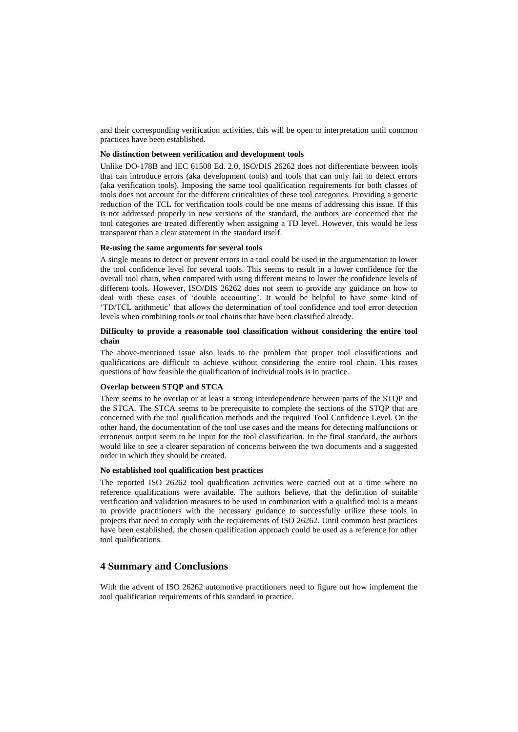and their corresponding verification activities, this will be open to interpretation until common practices have been established.

## **No distinction between verification and development tools**

Unlike DO-178B and IEC 61508 Ed. 2.0, ISO/DIS 26262 does not differentiate between tools that can introduce errors (aka development tools) and tools that can only fail to detect errors (aka verification tools). Imposing the same tool qualification requirements for both classes of tools does not account for the different criticalities of these tool categories. Providing a generic reduction of the TCL for verification tools could be one means of addressing this issue. If this is not addressed properly in new versions of the standard, the authors are concerned that the tool categories are treated differently when assigning a TD level. However, this would be less transparent than a clear statement in the standard itself.

#### **Re-using the same arguments for several tools**

A single means to detect or prevent errors in a tool could be used in the argumentation to lower the tool confidence level for several tools. This seems to result in a lower confidence for the overall tool chain, when compared with using different means to lower the confidence levels of different tools. However, ISO/DIS 26262 does not seem to provide any guidance on how to deal with these cases of ‗double accounting'. It would be helpful to have some kind of ‗TD/TCL arithmetic' that allows the determination of tool confidence and tool error detection levels when combining tools or tool chains that have been classified already.

### **Difficulty to provide a reasonable tool classification without considering the entire tool chain**

The above-mentioned issue also leads to the problem that proper tool classifications and qualifications are difficult to achieve without considering the entire tool chain. This raises questions of how feasible the qualification of individual tools is in practice.

### **Overlap between STQP and STCA**

There seems to be overlap or at least a strong interdependence between parts of the STQP and the STCA. The STCA seems to be prerequisite to complete the sections of the STQP that are concerned with the tool qualification methods and the required Tool Confidence Level. On the other hand, the documentation of the tool use cases and the means for detecting malfunctions or erroneous output seem to be input for the tool classification. In the final standard, the authors would like to see a clearer separation of concerns between the two documents and a suggested order in which they should be created.

## **No established tool qualification best practices**

The reported ISO 26262 tool qualification activities were carried out at a time where no reference qualifications were available. The authors believe, that the definition of suitable verification and validation measures to be used in combination with a qualified tool is a means to provide practitioners with the necessary guidance to successfully utilize these tools in projects that need to comply with the requirements of ISO 26262. Until common best practices have been established, the chosen qualification approach could be used as a reference for other tool qualifications.

## **4 Summary and Conclusions**

With the advent of ISO 26262 automotive practitioners need to figure out how implement the tool qualification requirements of this standard in practice.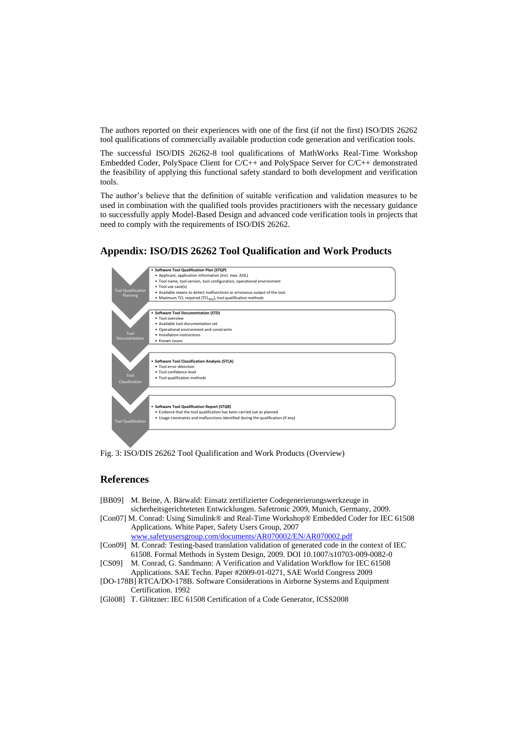The authors reported on their experiences with one of the first (if not the first) ISO/DIS 26262 tool qualifications of commercially available production code generation and verification tools.

The successful ISO/DIS 26262-8 tool qualifications of MathWorks Real-Time Workshop Embedded Coder, PolySpace Client for C/C++ and PolySpace Server for C/C++ demonstrated the feasibility of applying this functional safety standard to both development and verification tools.

The author's believe that the definition of suitable verification and validation measures to be used in combination with the qualified tools provides practitioners with the necessary guidance to successfully apply Model-Based Design and advanced code verification tools in projects that need to comply with the requirements of ISO/DIS 26262.

## **Appendix: ISO/DIS 26262 Tool Qualification and Work Products**





## **References**

- [BB09] M. Beine, A. Bärwald: Einsatz zertifizierter Codegenerierungswerkzeuge in sicherheitsgerichteteten Entwicklungen. Safetronic 2009, Munich, Germany, 2009.
- [Con07] M. Conrad: Using Simulink® and Real-Time Workshop® Embedded Coder for IEC 61508 Applications. White Paper, Safety Users Group, 2007 [www.safetyusersgroup.com/documents/AR070002/EN/AR070002.pdf](http://www.safetyusersgroup.com/documents/AR070002/EN/AR070002.pdf)
- [Con09] M. Conrad: Testing-based translation validation of generated code in the context of IEC 61508. Formal Methods in System Design, 2009. DOI 10.1007/s10703-009-0082-0
- [CS09] M. Conrad, G. Sandmann: A Verification and Validation Workflow for IEC 61508 Applications. SAE Techn. Paper #2009-01-0271, SAE World Congress 2009
- [DO-178B] RTCA/DO-178B. Software Considerations in Airborne Systems and Equipment Certification. 1992
- [Glö08] T. Glötzner: IEC 61508 Certification of a Code Generator, ICSS2008